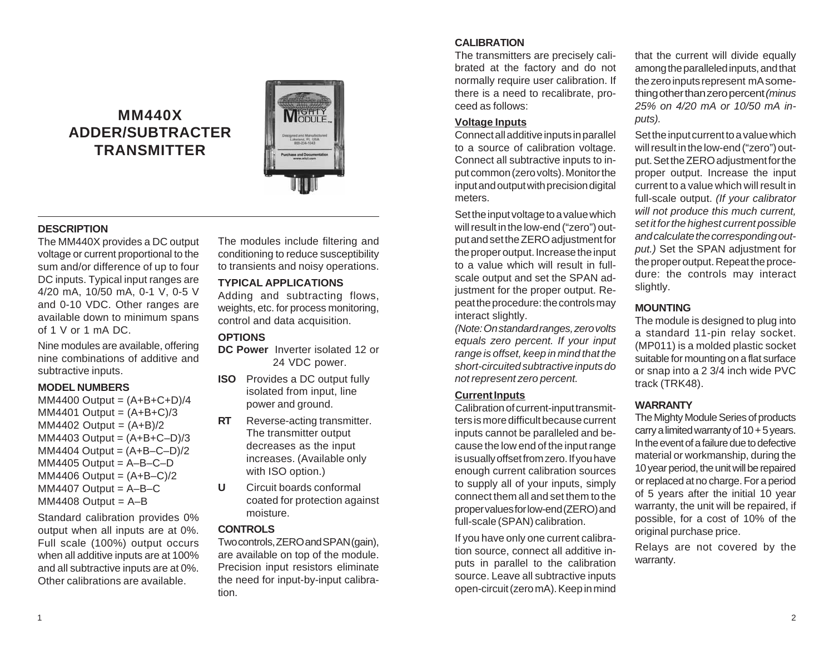# **MM440X ADDER/SUBTRACTER TRANSMITTER**



# **DESCRIPTION**

The MM440X provides a DC output voltage or current proportional to the sum and/or difference of up to four DC inputs. Typical input ranges are 4/20 mA, 10/50 mA, 0-1 V, 0-5 V and 0-10 VDC. Other ranges are available down to minimum spans of 1 V or 1 mA DC.

Nine modules are available, offering nine combinations of additive and subtractive inputs.

## **MODEL NUMBERS**

 $MM4400$  Output =  $(A+B+C+D)/4$  $MM4401 Output = (A+B+C)/3$  $MM4402$  Output =  $(A+B)/2$  $MM4403$  Output =  $(A+B+C-D)/3$  $MM4404 Output =  $(A+B-C-D)/2$$  $MM4405 Output = A-B-C-D$  $MM4406$  Output =  $(A+B-C)/2$  $MM4407$  Output = A-B-C  $MM4408$  Output = A-B

Standard calibration provides 0% output when all inputs are at 0%. Full scale (100%) output occurs when all additive inputs are at 100% and all subtractive inputs are at 0%. Other calibrations are available.

The modules include filtering and conditioning to reduce susceptibility to transients and noisy operations.

## **TYPICAL APPLICATIONS**

Adding and subtracting flows, weights, etc. for process monitoring, control and data acquisition.

# **OPTIONS**

- **DC Power** Inverter isolated 12 or 24 VDC power.
- **ISO** Provides a DC output fully isolated from input, line power and ground.
- **RT** Reverse-acting transmitter. The transmitter output decreases as the input increases. (Available only with ISO option.)
- **U** Circuit boards conformal coated for protection against moisture.

## **CONTROLS**

Two controls, ZERO and SPAN (gain), are available on top of the module. Precision input resistors eliminate the need for input-by-input calibration.

# **CALIBRATION**

The transmitters are precisely calibrated at the factory and do not normally require user calibration. If there is a need to recalibrate, proceed as follows:

### **Voltage Inputs**

Connect all additive inputs in parallel to a source of calibration voltage. Connect all subtractive inputs to input common (zero volts). Monitor the input and output with precision digital meters.

Set the input voltage to a value which will result in the low-end ("zero") output and set the ZERO adjustment for the proper output. Increase the input to a value which will result in fullscale output and set the SPAN adjustment for the proper output. Repeat the procedure: the controls may interact slightly.

*(Note: On standard ranges, zero volts equals zero percent. If your input range is offset, keep in mind that the short-circuited subtractive inputs do not represent zero percent.*

## **Current Inputs**

Calibration of current-input transmitters is more difficult because current inputs cannot be paralleled and because the low end of the input range is usually offset from zero. If you have enough current calibration sources to supply all of your inputs, simply connect them all and set them to the proper values for low-end (ZERO) and full-scale (SPAN) calibration.

If you have only one current calibration source, connect all additive inputs in parallel to the calibration source. Leave all subtractive inputs open-circuit (zero mA). Keep in mind

that the current will divide equally among the paralleled inputs, and that the zero inputs represent mA something other than zero percent *(minus 25% on 4/20 mA or 10/50 mA inputs).*

Set the input current to a value which will result in the low-end ("zero") output. Set the ZERO adjustment for the proper output. Increase the input current to a value which will result in full-scale output. *(If your calibrator will not produce this much current, set it for the highest current possible and calculate the corresponding output.)* Set the SPAN adjustment for the proper output. Repeat the procedure: the controls may interact slightly.

# **MOUNTING**

The module is designed to plug into a standard 11-pin relay socket. (MP011) is a molded plastic socket suitable for mounting on a flat surface or snap into a 2 3/4 inch wide PVC track (TRK48).

## **WARRANTY**

The Mighty Module Series of products carry a limited warranty of  $10 + 5$  years. In the event of a failure due to defective material or workmanship, during the 10 year period, the unit will be repaired or replaced at no charge. For a period of 5 years after the initial 10 year warranty, the unit will be repaired, if possible, for a cost of 10% of the original purchase price.

Relays are not covered by the warranty.